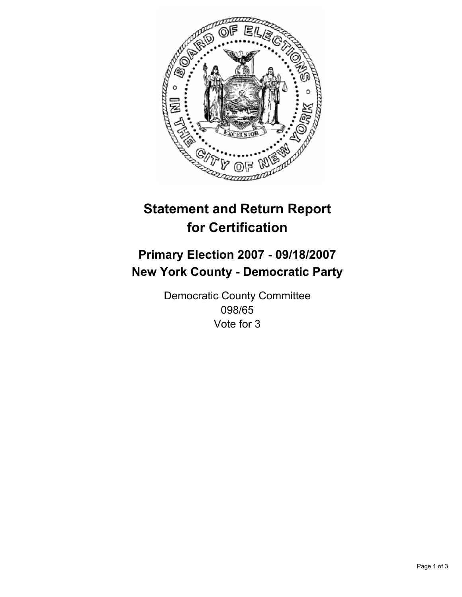

# **Statement and Return Report for Certification**

## **Primary Election 2007 - 09/18/2007 New York County - Democratic Party**

Democratic County Committee 098/65 Vote for 3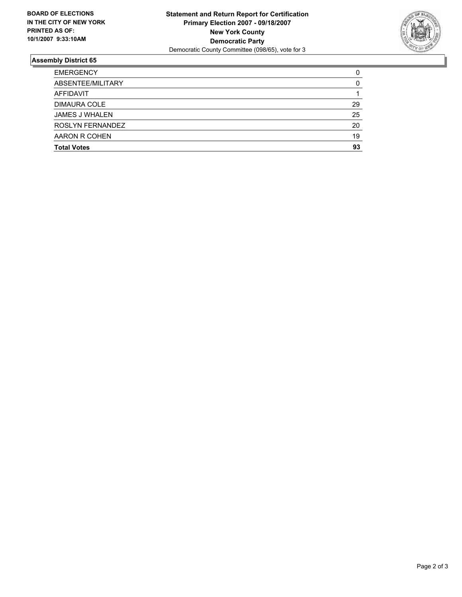

### **Assembly District 65**

| <b>EMERGENCY</b>      | C  |
|-----------------------|----|
| ABSENTEE/MILITARY     |    |
| AFFIDAVIT             |    |
| <b>DIMAURA COLE</b>   | 29 |
| <b>JAMES J WHALEN</b> | 25 |
| ROSLYN FERNANDEZ      | 20 |
| AARON R COHEN         | 19 |
| <b>Total Votes</b>    | 93 |